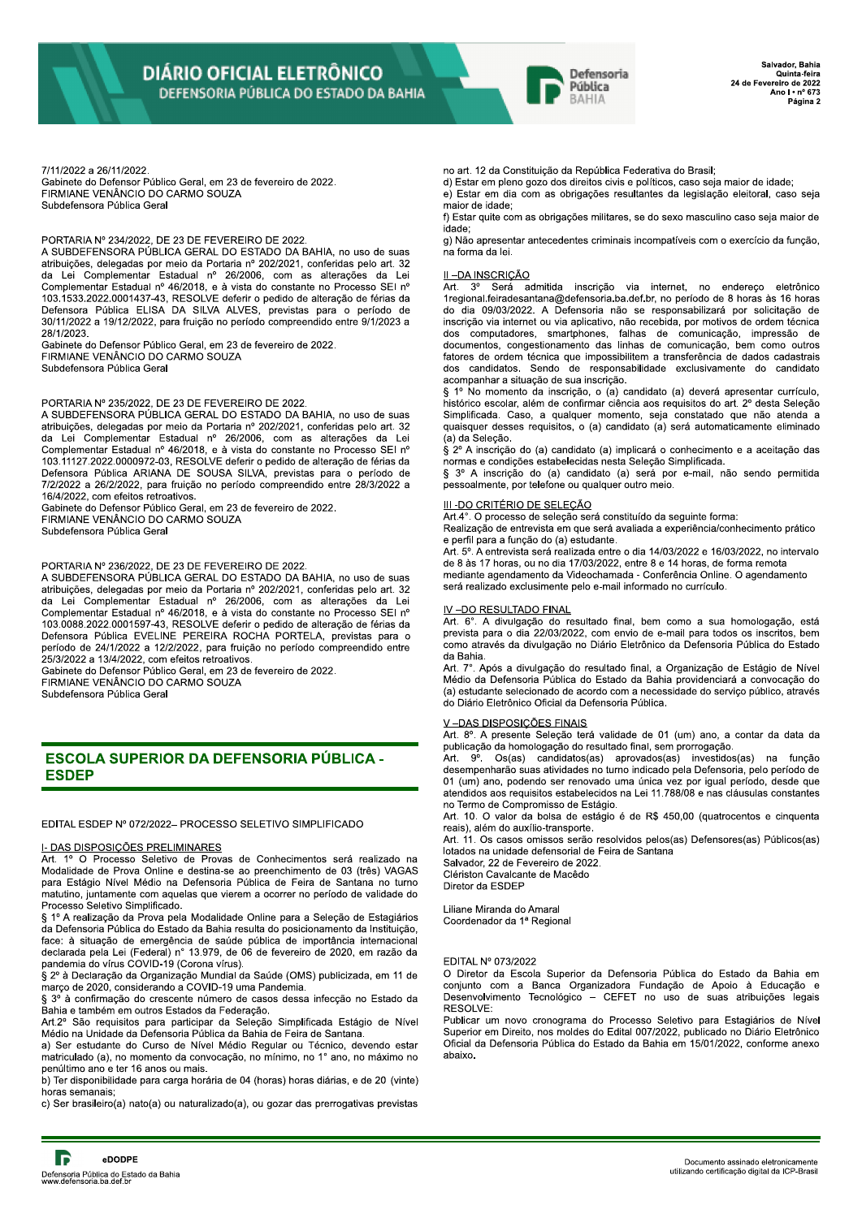

Salvador, Bahia Quinta-feira 24 de Fevereiro de 2022 Ano  $1 \cdot n^{\circ}$  673 Página 2

7/11/2022 a 26/11/2022.

Gabinete do Defensor Público Geral, em 23 de fevereiro de 2022. FIRMIANE VENÂNCIO DO CARMO SOUZA Subdefensora Pública Geral

### PORTARIA Nº 234/2022, DE 23 DE FEVEREIRO DE 2022.

A SUBDEFENSORA PÚBLICA GERAL DO ESTADO DA BAHIA, no uso de suas atribuições, delegadas por meio da Portaria nº 202/2021, conferidas pelo art. 32 da Lei Complementar Estadual nº 26/2006, com as alterações da Lei da Loi complementar Estadual nº 46/2018, e à vista do constante no Processo SEI nº<br>103.1533.2022.0001437-43, RESOLVE deferir o pedido de alteração de férias da<br>103.1533.2022.0001437-43, RESOLVE deferir o pedido de alteraçã 28/1/2023.

Gabinete do Defensor Público Geral, em 23 de fevereiro de 2022. FIRMIANE VENÂNCIO DO CARMO SOUZA Subdefensora Pública Geral

## PORTARIA Nº 235/2022, DE 23 DE FEVEREIRO DE 2022.

A SUBDEFENSORA PÚBLICA GERAL DO ESTADO DA BAHIA, no uso de suas atribuições, delegadas por meio da Portaria nº 202/2021, conferidas pelo art. 32 da Lei Complementar Estadual nº 26/2006, com as alterações da Lei Complementar Estadual nº 46/2018, e à vista do constante no Processo SEI nº 103.11127.2022.0000972-03, RESOLVE deferir o pedido de alteração de férias da<br>Defensora Pública ARIANA DE SOUSA SILVA, previstas para o período de 7/2/2022 a 26/2/2022, para fruição no período compreendido entre 28/3/2022 a 16/4/2022, com efeitos retroativos.

Gabinete do Defensor Público Geral, em 23 de fevereiro de 2022. FIRMIANE VENÂNCIO DO CARMO SOUZA

Subdefensora Pública Geral

# PORTARIA Nº 236/2022. DE 23 DE FEVEREIRO DE 2022.

A SUBDEFENSORA PÚBLICA GERAL DO ESTADO DA BAHIA, no uso de suas atribuições, delegadas por meio da Portaria nº 202/2021, conferidas pelo art. 32 da Lei Complementar Estadual nº 26/2006, com as alterações da Lei Complementar Estadual nº 46/2018, e à vista do constante no Processo SEI nº 103.0088.2022.0001597-43, RESOLVE deferir o pedido de alteração de férias da Defensora Pública EVELINE PEREIRA ROCHA PORTELA, previstas para o período de 24/1/2022 a 12/2/2022, para fruição no período compreendido entre 25/3/2022 a 13/4/2022, com efeitos retroativos.

Gabinete do Defensor Público Geral, em 23 de fevereiro de 2022.

FIRMIANE VENÂNCIO DO CARMO SOUZA

Subdefensora Pública Geral

# **ESCOLA SUPERIOR DA DEFENSORIA PÚBLICA -ESDEP**

EDITAL ESDEP Nº 072/2022- PROCESSO SELETIVO SIMPLIFICADO

### I- DAS DISPOSIÇÕES PRELIMINARES

Art. 1º O Processo Seletivo de Provas de Conhecimentos será realizado na Modalidade de Prova Online e destina-se ao preenchimento de 03 (três) VAGAS para Estágio Nível Médio na Defensoria Pública de Feira de Santana no turno matutino, juntamente com aquelas que vierem a ocorrer no período de validade do Processo Seletivo Simplificado.

§ 1º A realização da Prova pela Modalidade Online para a Seleção de Estagiários da Defensoria Pública do Estado da Bahia resulta do posicionamento da Instituição, face: à situação de emergência de saúde pública de importância internacional<br>declarada pela Lei (Federal) nº 13.979, de 06 de fevereiro de 2020, em razão da<br>pandemia do vírus COVID-19 (Corona vírus).

paracema ao vinas o corno-se poenda vinas).<br>§ 2º à Declaração da Organização Mundial da Saúde (OMS) publicizada, em 11 de<br>março de 2020, considerando a COVID-19 uma Pandemia.

§ 3º à confirmação do crescente número de casos dessa infecção no Estado da Bahia e também em outros Estados da Federação.

Art.2º São requisitos para participar da Seleção Simplificada Estágio de Nível Médio na Unidade da Defensoria Pública da Bahia de Feira de Santana.

a) Ser estudante do Curso de Nível Médio Regular ou Técnico, devendo estar matriculado (a), no momento da convocação, no mínimo, no 1° ano, no máximo no penúltimo ano e ter 16 anos ou mais.

b) Ter disponibilidade para carga horária de 04 (horas) horas diárias, e de 20 (vinte) horas semanais

c) Ser brasileiro(a) nato(a) ou naturalizado(a), ou gozar das prerrogativas previstas

no art. 12 da Constituição da República Federativa do Brasil;

d) Estar em pleno gozo dos direitos civis e políticos, caso seja maior de idade;

e) Estar em dia com as obrigações resultantes da legislação eleitoral, caso seja major de idade:

f) Estar quite com as obrigações militares, se do sexo masculino caso seja maior de idade:

g) Não apresentar antecedentes criminais incompatíveis com o exercício da função, na forma da lei.

# II-DA INSCRIÇÃO

Art.  $3^{\circ}$ Será admitida inscrição via internet, no endereço eletrônico 1regional feiradesantana@defensoria.ba.def.br, no período de 8 horas às 16 horas do dia 09/03/2022. A Defensoria não se responsabilizará por solicitação de inscrição via internet ou via aplicativo, não recebida, por motivos de ordem técnica dos computadores, smartphones, falhas de comunicação, impressão de documentos, congestionamento das linhas de comunicação, bem como outros fatores de ordem técnica que impossibilitem a transferência de dados cadastrais dos candidatos. Sendo de responsabilidade exclusivamente do candidato acompanhar a situação de sua inscrição.

acomparmar a orango de orango (a) candidato (a) deverá apresentar currículo,<br>S 1º No momento da inscrição, o (a) candidato (a) deverá apresentar currículo,<br>histórico escolar, além de confirmar ciência aos requisitos do art Simplificada. Caso, a qualquer momento, seja constatado que não atenda a quaisquer desses requisitos, o (a) candidato (a) será automaticamente eliminado (a) da Seleção.

§ 2º A inscrição do (a) candidato (a) implicará o conhecimento e a aceitação das normas e condições estabelecidas nesta Seleção Simplificada.

§ 3º A inscrição do (a) candidato (a) será por e-mail, não sendo permitida pessoalmente, por telefone ou qualquer outro meio.

# III-DO CRITÉRIO DE SELECÃO

Art.4°. O processo de seleção será constituído da seguinte forma:

Realização de entrevista em que será avaliada a experiência/conhecimento prático e perfil para a função do (a) estudante.

Art. 5º. A entrevista será realizada entre o dia 14/03/2022 e 16/03/2022, no intervalo de 8 às 17 horas, ou no dia 17/03/2022, entre 8 e 14 horas, de forma remota mediante agendamento da Videochamada - Conferência Online. O agendamento será realizado exclusimente pelo e-mail informado no currículo.

### IV-DO RESULTADO FINAL

Art. 6°. A divulgação do resultado final, bem como a sua homologação, está prevista para o dia 22/03/2022, com envio de e-mail para todos os inscritos, bem como através da divulgação no Diário Eletrônico da Defensoria Pública do Estado da Bahia

Art. 7°. Após a divulgação do resultado final, a Organização de Estágio de Nível<br>Médio da Defensoria Pública do Estado da Bahia providenciará a convocação do (a) estudante selecionado de acordo com a necessidade do servico público, através do Diário Eletrônico Oficial da Defensoria Pública.

### V-DAS DISPOSIÇÕES FINAIS

Art. 8°. A presente Seleção terá validade de 01 (um) ano, a contar da data da publicação da homologação do resultado final, sem prorrogação.

Art. 9<sup>°</sup>. Os(as) candidatos(as) aprovados(as) investidos(as) na funcão desempenharão suas atividades no turno indicado pela Defensoria, pelo período de security and construct of the renovado uma única vez por igual período, desde que<br>atendidos aos requisitos estabelecidos na Lei 11.788/08 e nas cláusulas constantes no Termo de Compromisso de Estágio.

Art. 10. O valor da bolsa de estágio é de R\$ 450,00 (quatrocentos e cinquenta reais), além do auxílio-transporte.

Art. 11. Os casos omissos serão resolvidos pelos(as) Defensores(as) Públicos(as) lotados na unidade defensorial de Feira de Santana

Salvador, 22 de Fevereiro de 2022.<br>Clériston Cavalcante de Macêdo

Diretor da ESDEP

Liliane Miranda do Amaral Coordenador da 1ª Regional

### EDITAL Nº 073/2022

O Diretor da Escola Superior da Defensoria Pública do Estado da Bahia em conjunto com a Banca Organizadora Fundação de Apoio à Educação e<br>Desenvolvimento Tecnológico – CEFET no uso de suas atribuições legais RESOLVE:

Publicar um novo cronograma do Processo Seletivo para Estagiários de Nível Superior em Direito, nos moldes do Edital 007/2022, publicado no Diário Eletrônico Oficial da Defensoria Pública do Estado da Bahia em 15/01/2022, conforme anexo abaixo